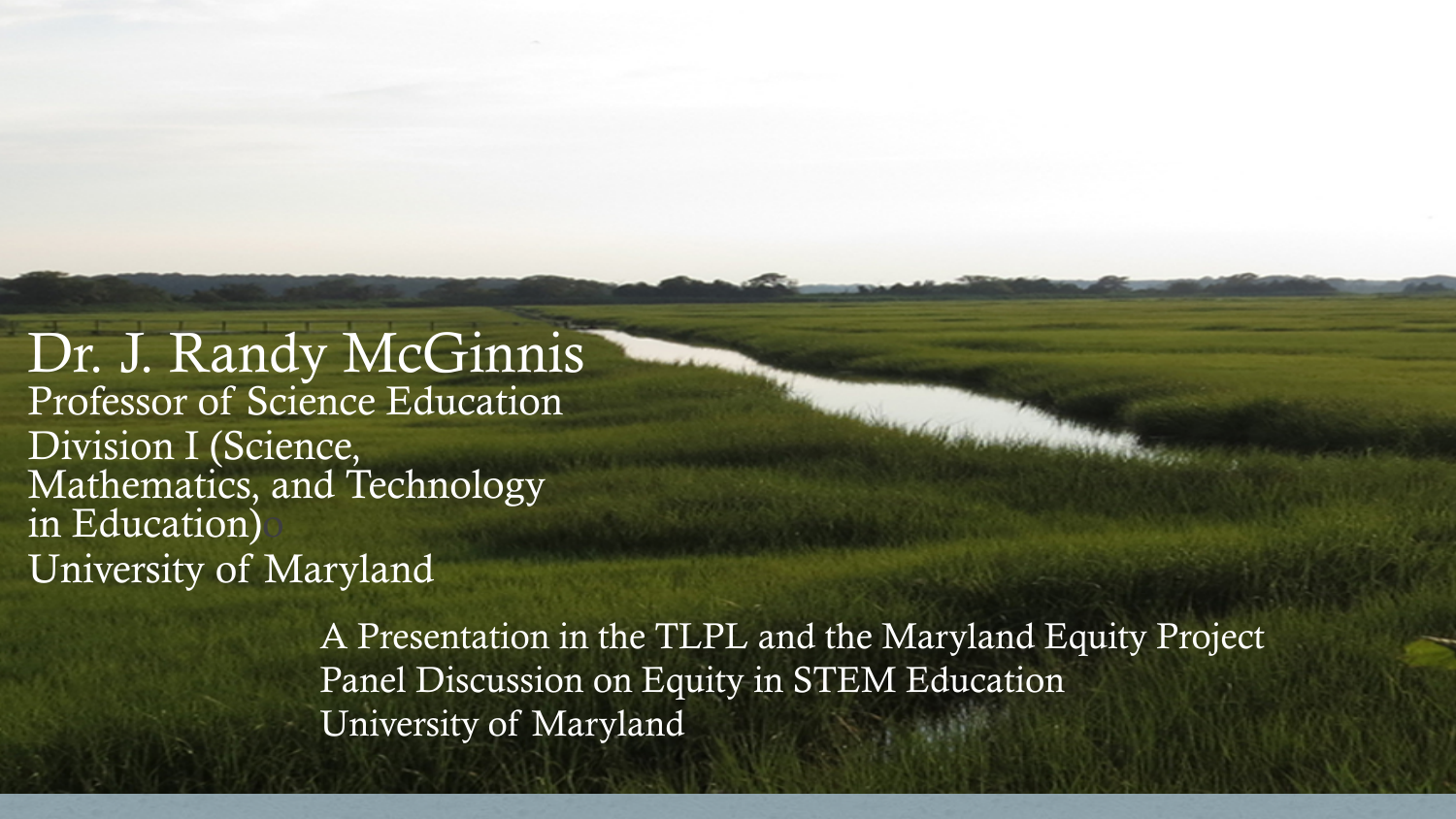Dr. J. Randy McGinnis Professor of Science Education Division I (Science, Mathematics, and Technology in Education) University of Maryland

> A Presentation in the TLPL and the Maryland Equity Project Panel Discussion on Equity in STEM Education University of Maryland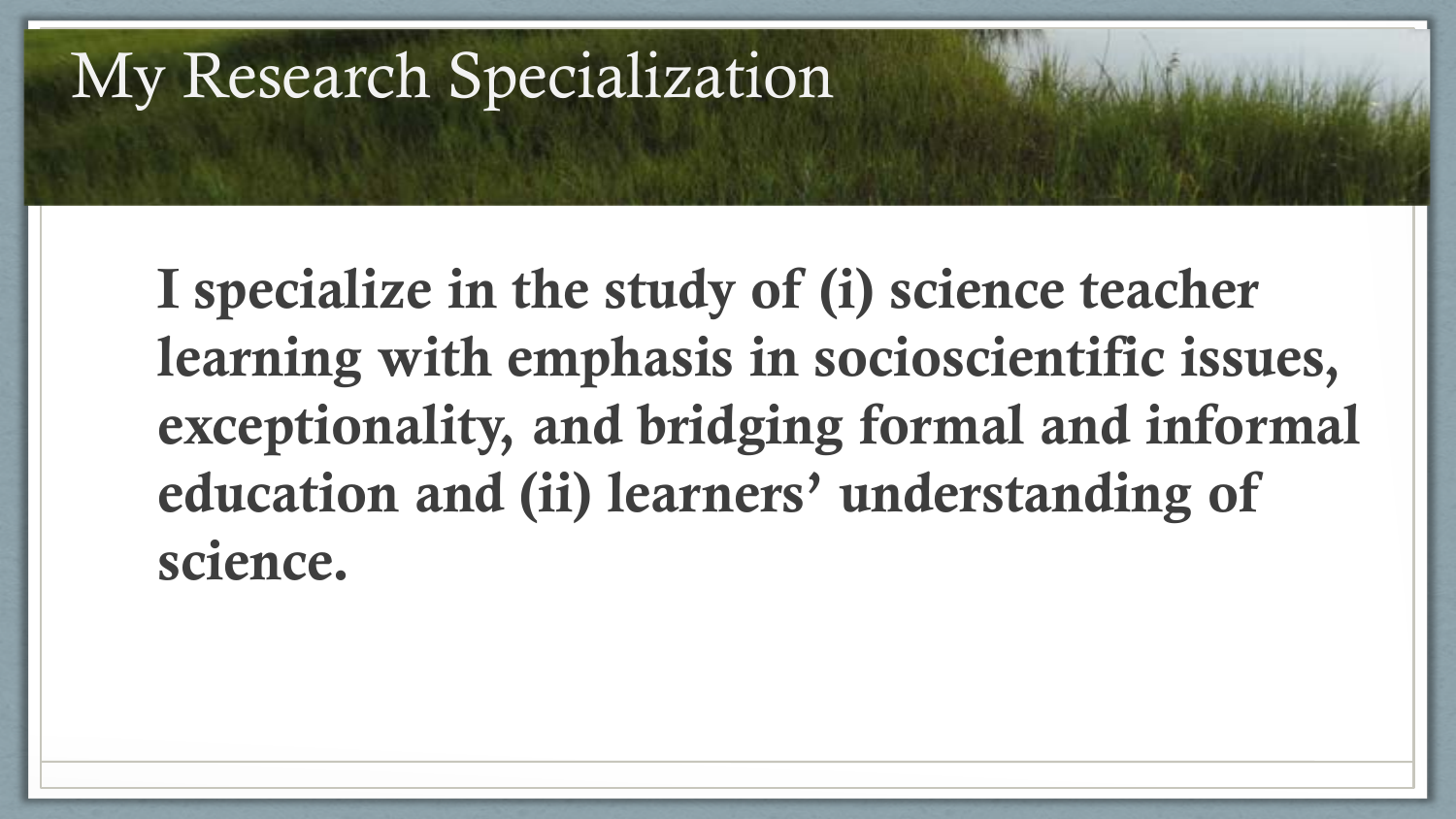## My Research Specialization

I specialize in the study of (i) science teacher learning with emphasis in socioscientific issues, exceptionality, and bridging formal and informal education and (ii) learners' understanding of science.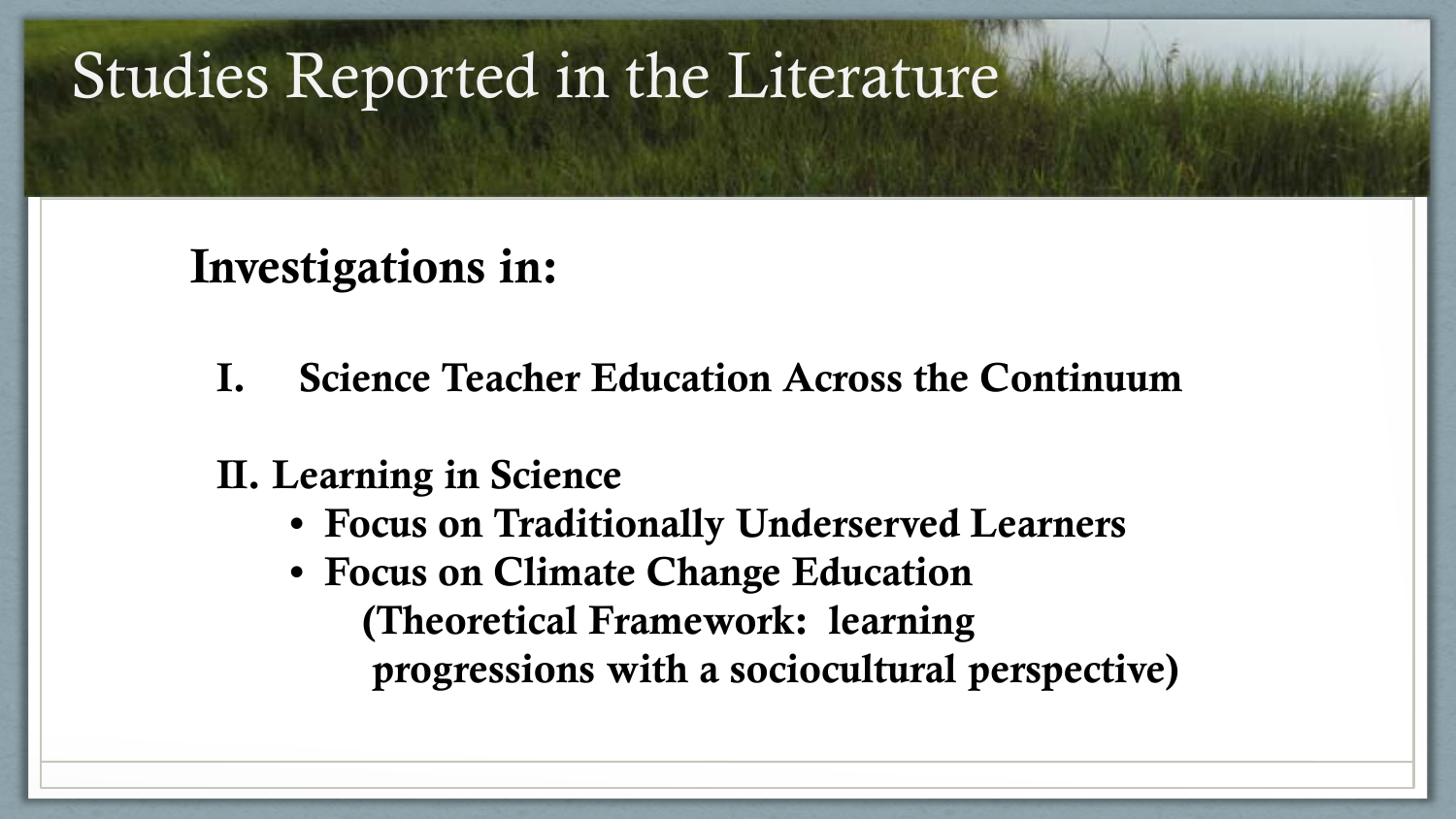## Studies Reported in the Literature

### Investigations in:

I. Science Teacher Education Across the Continuum

#### II. Learning in Science

- Focus on Traditionally Underserved Learners
- Focus on Climate Change Education (Theoretical Framework: learning progressions with a sociocultural perspective)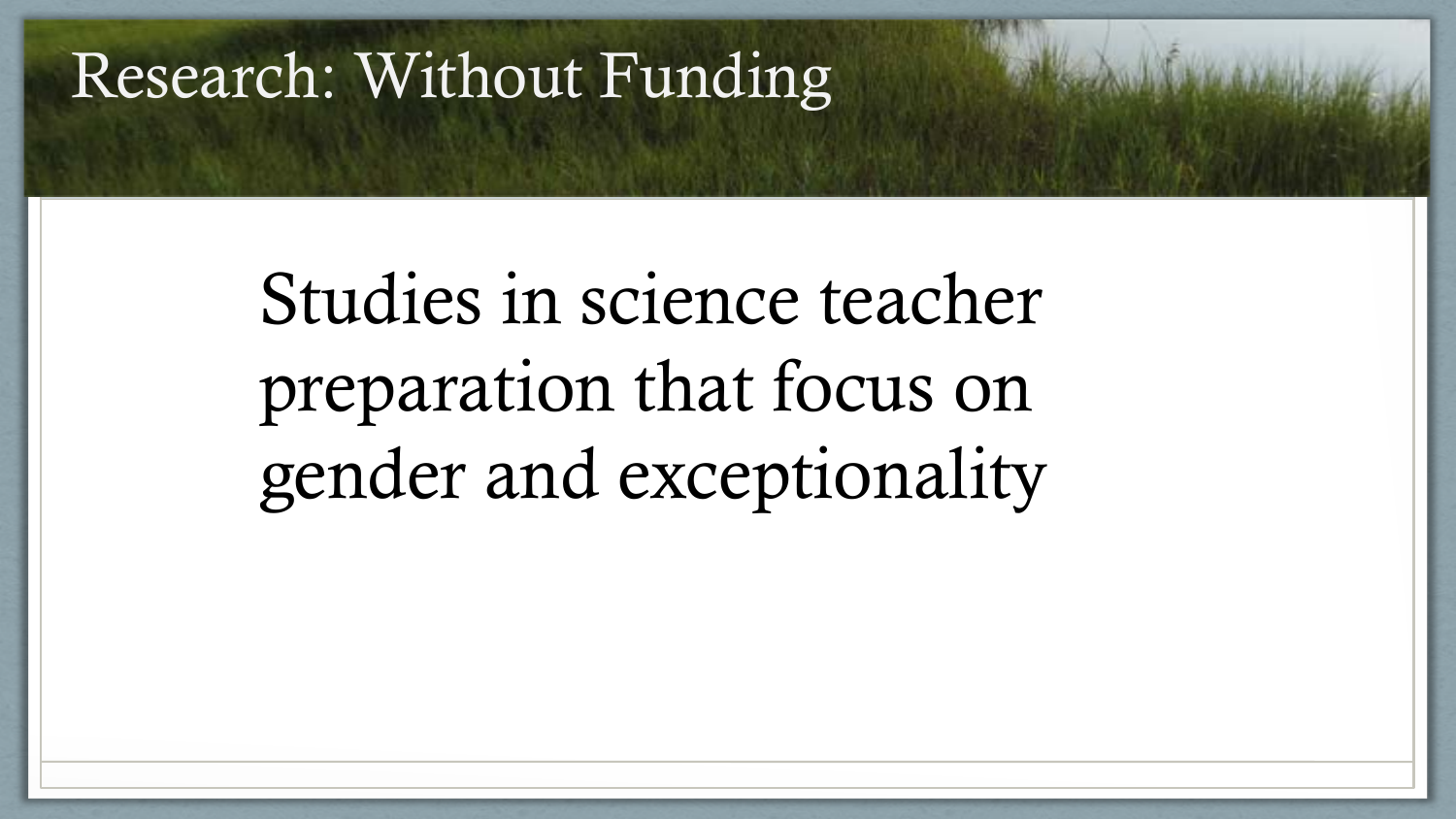### Research: Without Funding

# Studies in science teacher preparation that focus on gender and exceptionality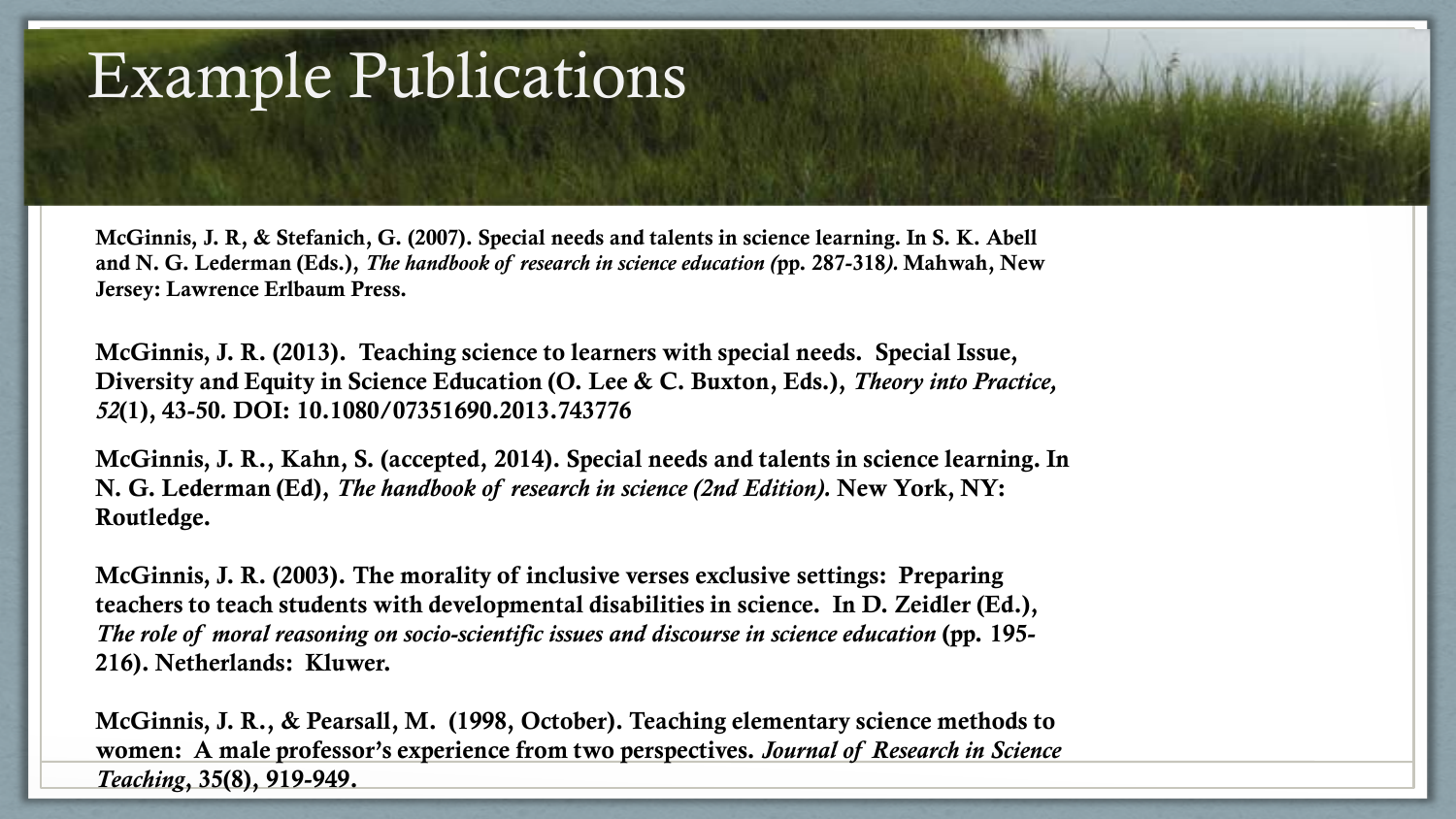## Example Publications

McGinnis, J. R, & Stefanich, G. (2007). Special needs and talents in science learning. In S. K. Abell and N. G. Lederman (Eds.), *The handbook of research in science education (*pp. 287-318*).* Mahwah, New Jersey: Lawrence Erlbaum Press.

McGinnis, J. R. (2013). Teaching science to learners with special needs. Special Issue, Diversity and Equity in Science Education (O. Lee & C. Buxton, Eds.), *Theory into Practice, 52*(1), 43-50*.* DOI: 10.1080/07351690.2013.743776

McGinnis, J. R., Kahn, S. (accepted, 2014). Special needs and talents in science learning. In N. G. Lederman (Ed), *The handbook of research in science (2nd Edition).* New York, NY: Routledge.

McGinnis, J. R. (2003). The morality of inclusive verses exclusive settings: Preparing teachers to teach students with developmental disabilities in science. In D. Zeidler (Ed.), *The role of moral reasoning on socio-scientific issues and discourse in science education* (pp. 195- 216). Netherlands: Kluwer.

McGinnis, J. R., & Pearsall, M. (1998, October). Teaching elementary science methods to women: A male professor's experience from two perspectives. *Journal of Research in Science Teaching*, 35(8), 919-949.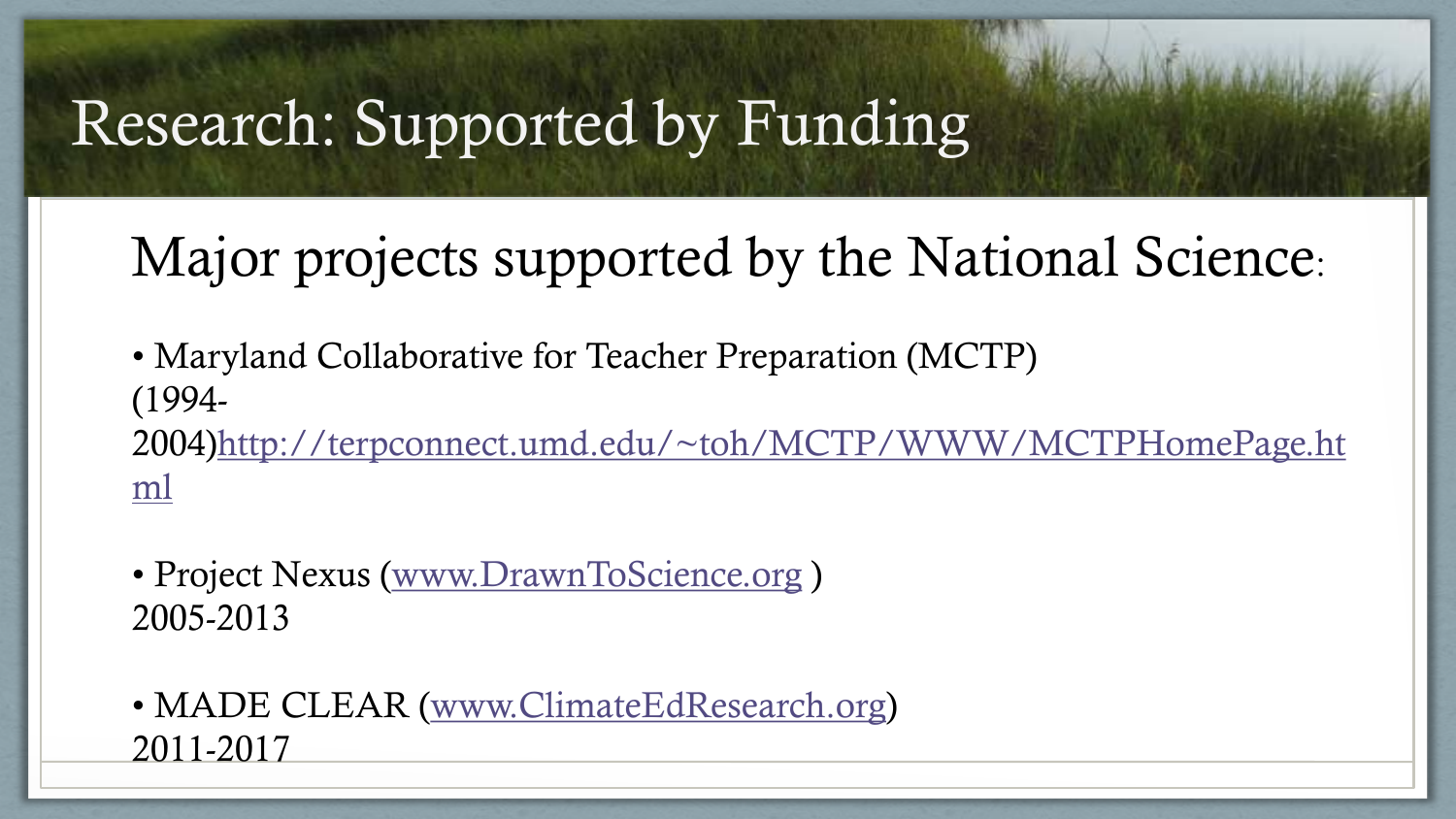## Research: Supported by Funding

### Major projects supported by the National Science:

• Maryland Collaborative for Teacher Preparation (MCTP) (1994- 2004)http[://terpconnect.umd.edu/~toh/MCTP/WWW/MCTPHomePage.ht](http://terpconnect.umd.edu/~toh/MCTP/WWW/MCTPHomePage.html) [ml](http://terpconnect.umd.edu/~toh/MCTP/WWW/MCTPHomePage.html)

- Project Nexus ([www.DrawnToScience.org](http://www.DrawnToScience.org)) 2005-2013
- MADE CLEAR ([www.ClimateEdResearch.org](http://www.ClimateEdResearch.org)) 2011-2017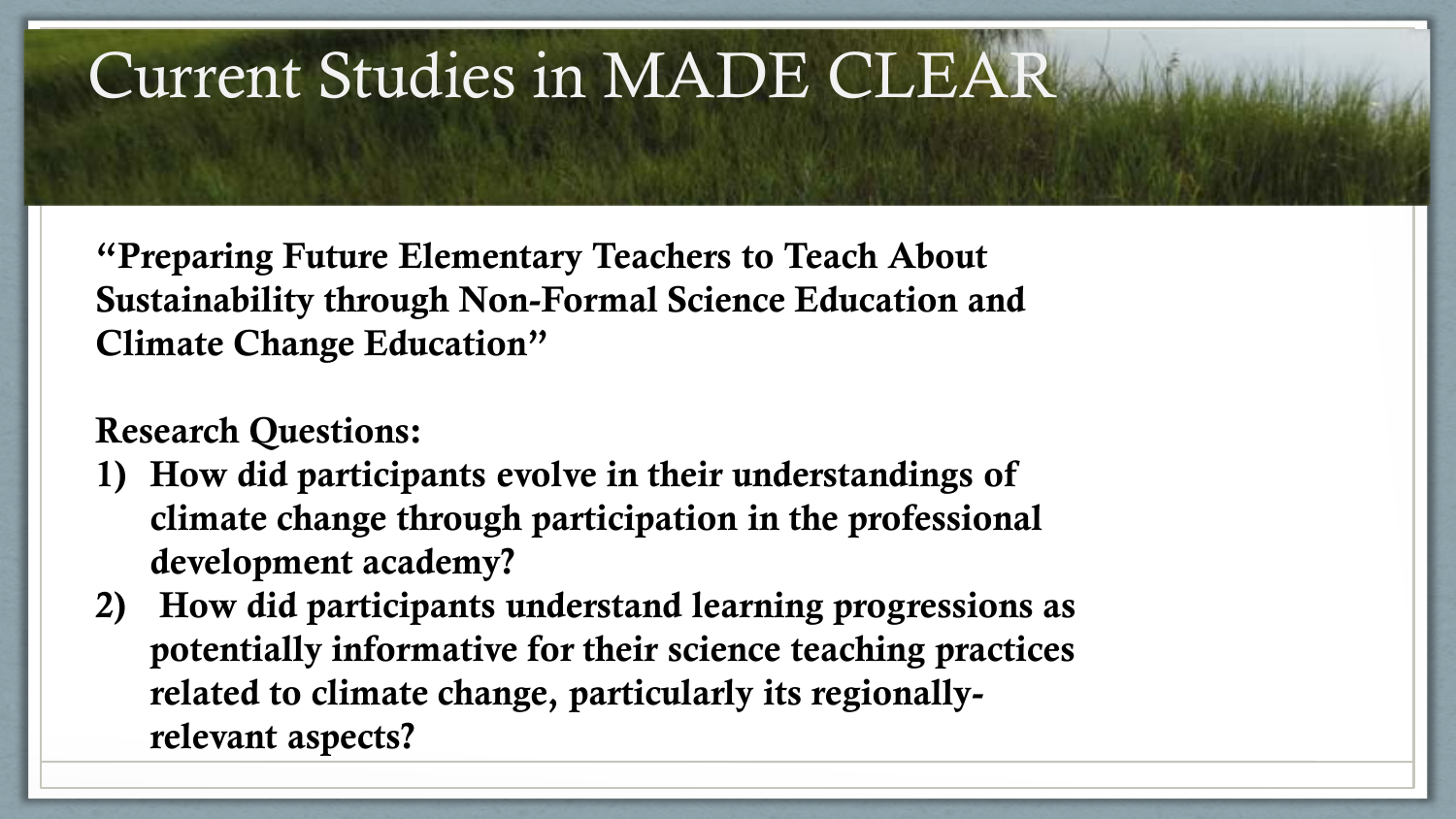## Current Studies in MADE CLEAR

"Preparing Future Elementary Teachers to Teach About Sustainability through Non-Formal Science Education and Climate Change Education"

#### Research Questions:

- 1) How did participants evolve in their understandings of climate change through participation in the professional development academy?
- 2) How did participants understand learning progressions as potentially informative for their science teaching practices related to climate change, particularly its regionallyrelevant aspects?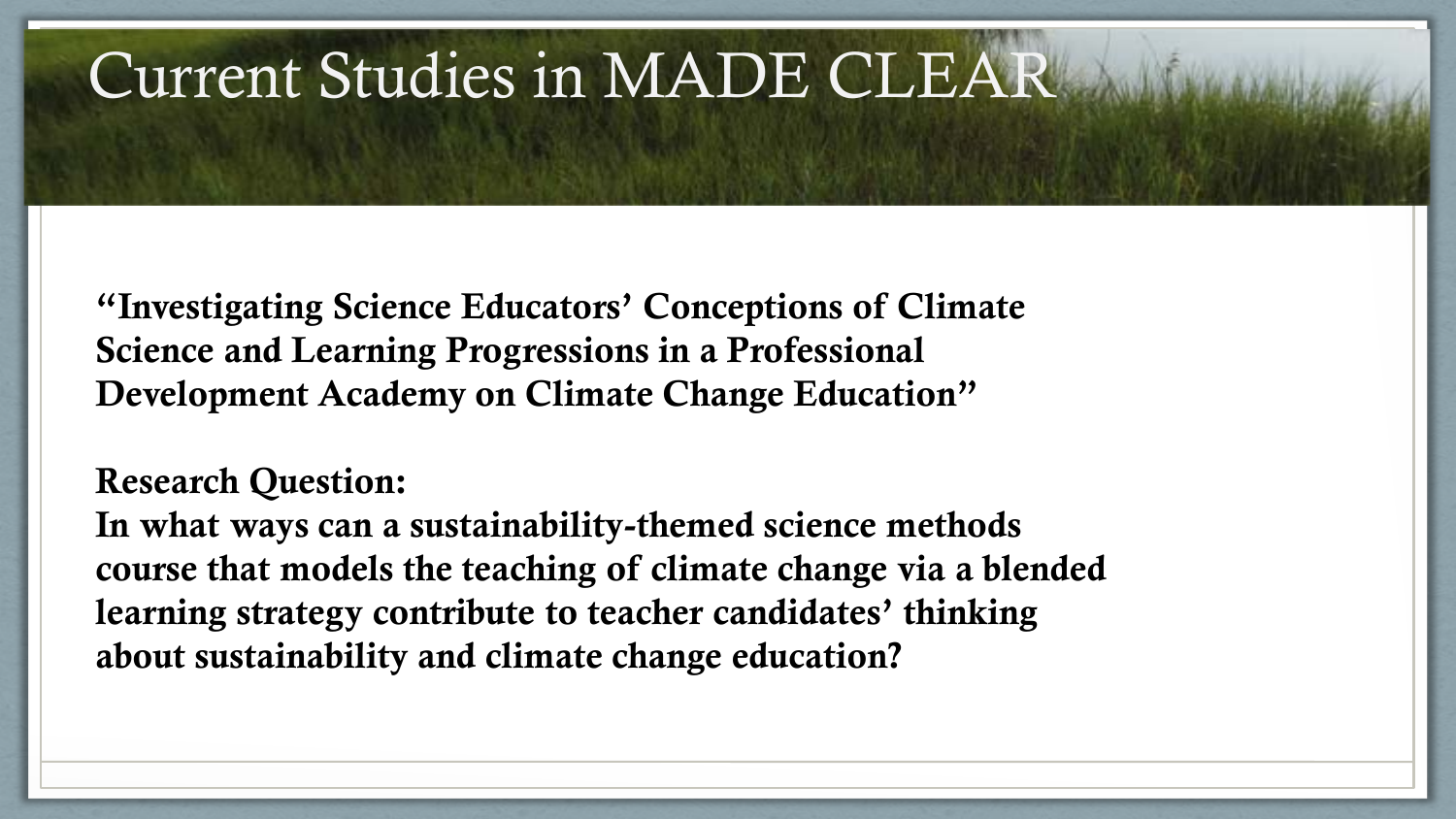## Current Studies in MADE CLEAR

"Investigating Science Educators' Conceptions of Climate Science and Learning Progressions in a Professional Development Academy on Climate Change Education"

Research Question:

In what ways can a sustainability-themed science methods course that models the teaching of climate change via a blended learning strategy contribute to teacher candidates' thinking about sustainability and climate change education?